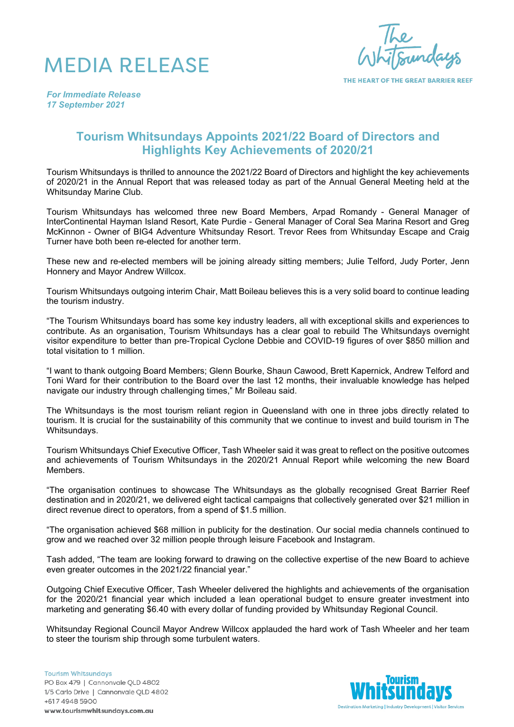



THE HEART OF THE GREAT BARRIER REEF

*For Immediate Release 17 September 2021*

## **Tourism Whitsundays Appoints 2021/22 Board of Directors and Highlights Key Achievements of 2020/21**

Tourism Whitsundays is thrilled to announce the 2021/22 Board of Directors and highlight the key achievements of 2020/21 in the Annual Report that was released today as part of the Annual General Meeting held at the Whitsunday Marine Club.

Tourism Whitsundays has welcomed three new Board Members, Arpad Romandy - General Manager of InterContinental Hayman Island Resort, Kate Purdie - General Manager of Coral Sea Marina Resort and Greg McKinnon - Owner of BIG4 Adventure Whitsunday Resort. Trevor Rees from Whitsunday Escape and Craig Turner have both been re-elected for another term.

These new and re-elected members will be joining already sitting members; Julie Telford, Judy Porter, Jenn Honnery and Mayor Andrew Willcox.

Tourism Whitsundays outgoing interim Chair, Matt Boileau believes this is a very solid board to continue leading the tourism industry.

"The Tourism Whitsundays board has some key industry leaders, all with exceptional skills and experiences to contribute. As an organisation, Tourism Whitsundays has a clear goal to rebuild The Whitsundays overnight visitor expenditure to better than pre-Tropical Cyclone Debbie and COVID-19 figures of over \$850 million and total visitation to 1 million.

"I want to thank outgoing Board Members; Glenn Bourke, Shaun Cawood, Brett Kapernick, Andrew Telford and Toni Ward for their contribution to the Board over the last 12 months, their invaluable knowledge has helped navigate our industry through challenging times," Mr Boileau said.

The Whitsundays is the most tourism reliant region in Queensland with one in three jobs directly related to tourism. It is crucial for the sustainability of this community that we continue to invest and build tourism in The Whitsundays.

Tourism Whitsundays Chief Executive Officer, Tash Wheeler said it was great to reflect on the positive outcomes and achievements of Tourism Whitsundays in the 2020/21 Annual Report while welcoming the new Board Members.

"The organisation continues to showcase The Whitsundays as the globally recognised Great Barrier Reef destination and in 2020/21, we delivered eight tactical campaigns that collectively generated over \$21 million in direct revenue direct to operators, from a spend of \$1.5 million.

"The organisation achieved \$68 million in publicity for the destination. Our social media channels continued to grow and we reached over 32 million people through leisure Facebook and Instagram.

Tash added, "The team are looking forward to drawing on the collective expertise of the new Board to achieve even greater outcomes in the 2021/22 financial year."

Outgoing Chief Executive Officer, Tash Wheeler delivered the highlights and achievements of the organisation for the 2020/21 financial year which included a lean operational budget to ensure greater investment into marketing and generating \$6.40 with every dollar of funding provided by Whitsunday Regional Council.

Whitsunday Regional Council Mayor Andrew Willcox applauded the hard work of Tash Wheeler and her team to steer the tourism ship through some turbulent waters.

**Tourism Whitsundays** PO Box 479 | Cannonvale QLD 4802 1/5 Carlo Drive | Cannonvale QLD 4802 +617 4948 5900 www.tourismwhitsundays.com.au